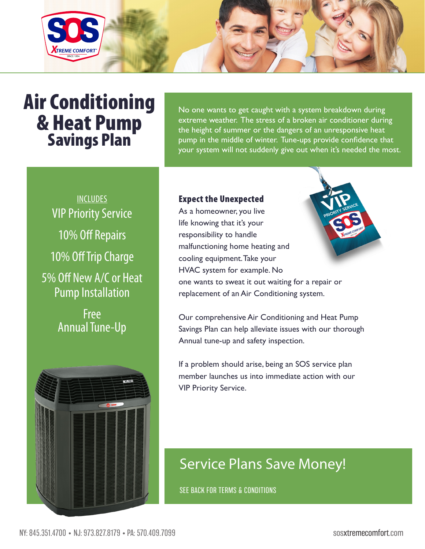

# Air Conditioning & Heat Pump Savings Plan

No one wants to get caught with a system breakdown during extreme weather. The stress of a broken air conditioner during the height of summer or the dangers of an unresponsive heat pump in the middle of winter. Tune-ups provide confidence that your system will not suddenly give out when it's needed the most.

INCLUDES VIP Priority Service 10% Off Repairs 10% Off Trip Charge 5% Off New A/C or Heat Pump Installation

> Free Annual Tune-Up



#### Expect the Unexpected

As a homeowner, you live life knowing that it's your responsibility to handle malfunctioning home heating and cooling equipment. Take your HVAC system for example. No one wants to sweat it out waiting for a repair or replacement of an Air Conditioning system.

Our comprehensive Air Conditioning and Heat Pump Savings Plan can help alleviate issues with our thorough Annual tune-up and safety inspection.

If a problem should arise, being an SOS service plan member launches us into immediate action with our VIP Priority Service.

## Service Plans Save Money!

SEE BACK FOR TERMS & CONDITIONS